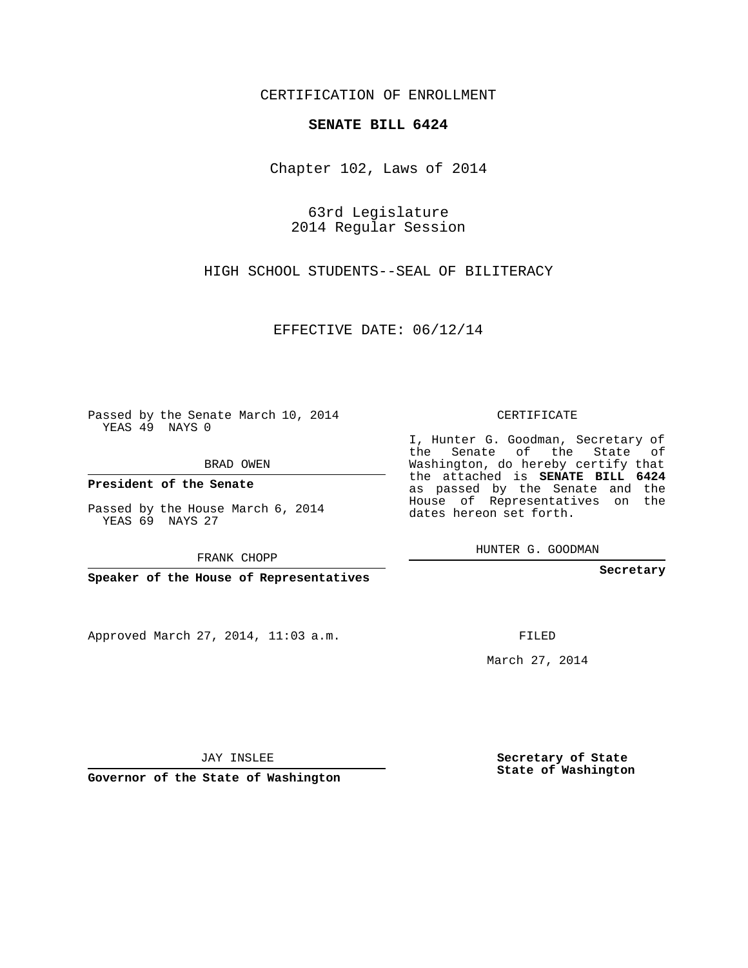## CERTIFICATION OF ENROLLMENT

#### **SENATE BILL 6424**

Chapter 102, Laws of 2014

63rd Legislature 2014 Regular Session

HIGH SCHOOL STUDENTS--SEAL OF BILITERACY

EFFECTIVE DATE: 06/12/14

**Contract Contract** 

Passed by the Senate March 10, 2014 YEAS 49 NAYS 0

BRAD OWEN

**President of the Senate**

Passed by the House March 6, 2014 YEAS 69 NAYS 27

FRANK CHOPP

**Speaker of the House of Representatives**

Approved March 27, 2014, 11:03 a.m.

CERTIFICATE

I, Hunter G. Goodman, Secretary of the Senate of the State of Washington, do hereby certify that the attached is **SENATE BILL 6424** as passed by the Senate and the House of Representatives on the dates hereon set forth.

HUNTER G. GOODMAN

**Secretary**

FILED

March 27, 2014

**Secretary of State State of Washington**

JAY INSLEE

**Governor of the State of Washington**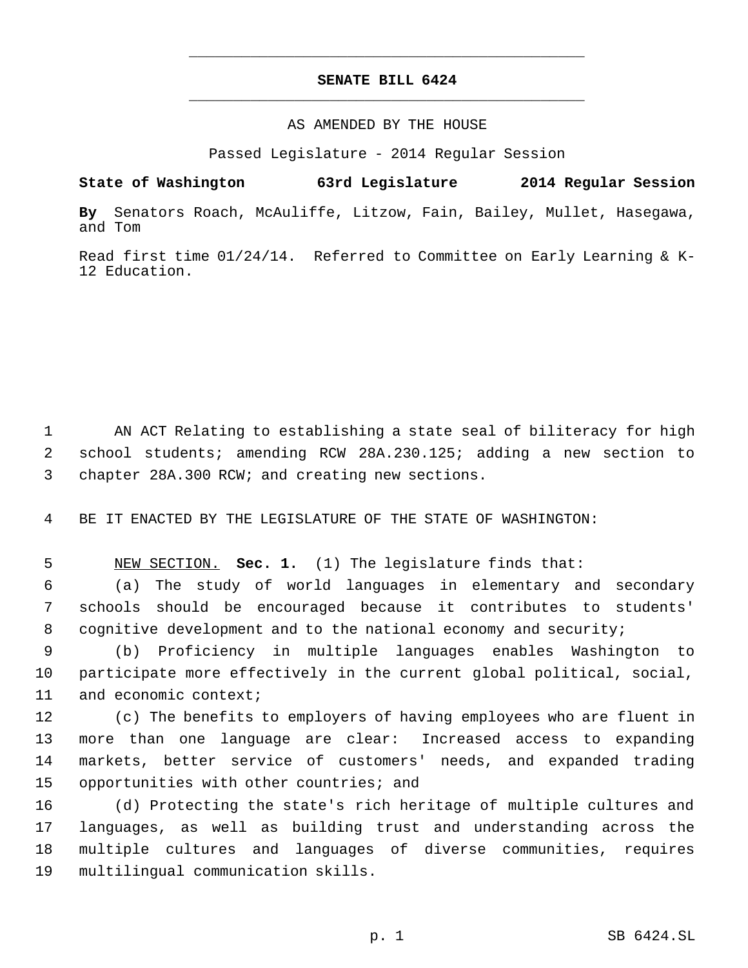# **SENATE BILL 6424** \_\_\_\_\_\_\_\_\_\_\_\_\_\_\_\_\_\_\_\_\_\_\_\_\_\_\_\_\_\_\_\_\_\_\_\_\_\_\_\_\_\_\_\_\_

\_\_\_\_\_\_\_\_\_\_\_\_\_\_\_\_\_\_\_\_\_\_\_\_\_\_\_\_\_\_\_\_\_\_\_\_\_\_\_\_\_\_\_\_\_

## AS AMENDED BY THE HOUSE

Passed Legislature - 2014 Regular Session

## **State of Washington 63rd Legislature 2014 Regular Session**

**By** Senators Roach, McAuliffe, Litzow, Fain, Bailey, Mullet, Hasegawa, and Tom

Read first time 01/24/14. Referred to Committee on Early Learning & K-12 Education.

1 AN ACT Relating to establishing a state seal of biliteracy for high 2 school students; amending RCW 28A.230.125; adding a new section to 3 chapter 28A.300 RCW; and creating new sections.

4 BE IT ENACTED BY THE LEGISLATURE OF THE STATE OF WASHINGTON:

5 NEW SECTION. **Sec. 1.** (1) The legislature finds that:

 6 (a) The study of world languages in elementary and secondary 7 schools should be encouraged because it contributes to students' 8 cognitive development and to the national economy and security;

 9 (b) Proficiency in multiple languages enables Washington to 10 participate more effectively in the current global political, social, 11 and economic context;

 (c) The benefits to employers of having employees who are fluent in more than one language are clear: Increased access to expanding markets, better service of customers' needs, and expanded trading 15 opportunities with other countries; and

 (d) Protecting the state's rich heritage of multiple cultures and languages, as well as building trust and understanding across the multiple cultures and languages of diverse communities, requires multilingual communication skills.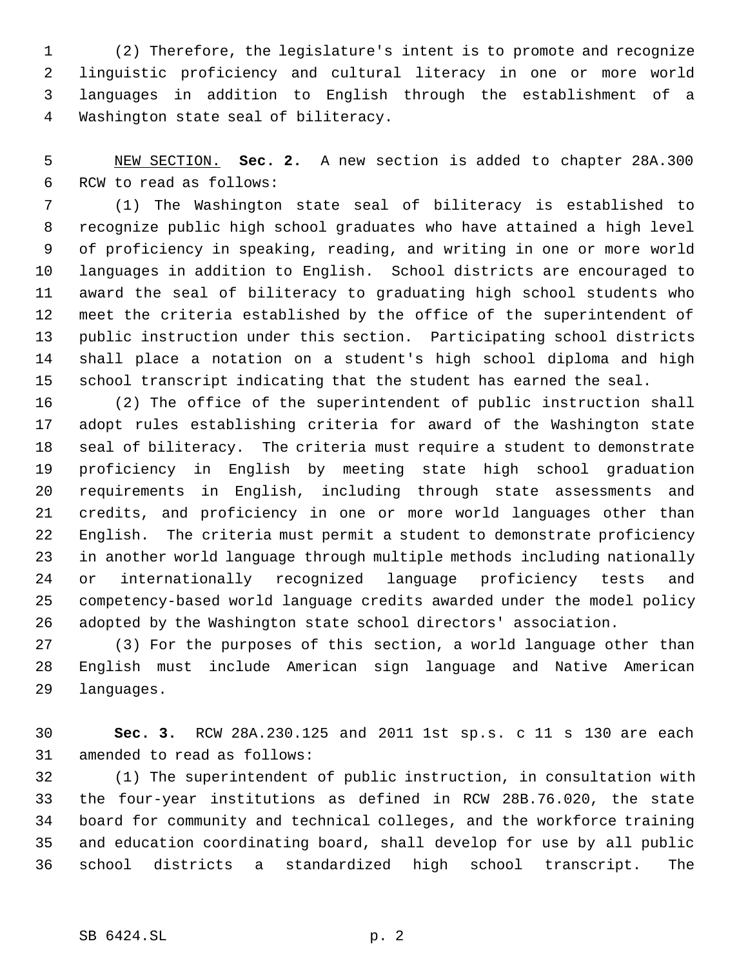(2) Therefore, the legislature's intent is to promote and recognize linguistic proficiency and cultural literacy in one or more world languages in addition to English through the establishment of a Washington state seal of biliteracy.

 NEW SECTION. **Sec. 2.** A new section is added to chapter 28A.300 RCW to read as follows:

 (1) The Washington state seal of biliteracy is established to recognize public high school graduates who have attained a high level of proficiency in speaking, reading, and writing in one or more world languages in addition to English. School districts are encouraged to award the seal of biliteracy to graduating high school students who meet the criteria established by the office of the superintendent of public instruction under this section. Participating school districts shall place a notation on a student's high school diploma and high school transcript indicating that the student has earned the seal.

 (2) The office of the superintendent of public instruction shall adopt rules establishing criteria for award of the Washington state seal of biliteracy. The criteria must require a student to demonstrate proficiency in English by meeting state high school graduation requirements in English, including through state assessments and credits, and proficiency in one or more world languages other than English. The criteria must permit a student to demonstrate proficiency in another world language through multiple methods including nationally or internationally recognized language proficiency tests and competency-based world language credits awarded under the model policy adopted by the Washington state school directors' association.

 (3) For the purposes of this section, a world language other than English must include American sign language and Native American languages.

 **Sec. 3.** RCW 28A.230.125 and 2011 1st sp.s. c 11 s 130 are each amended to read as follows:

 (1) The superintendent of public instruction, in consultation with the four-year institutions as defined in RCW 28B.76.020, the state board for community and technical colleges, and the workforce training and education coordinating board, shall develop for use by all public school districts a standardized high school transcript. The